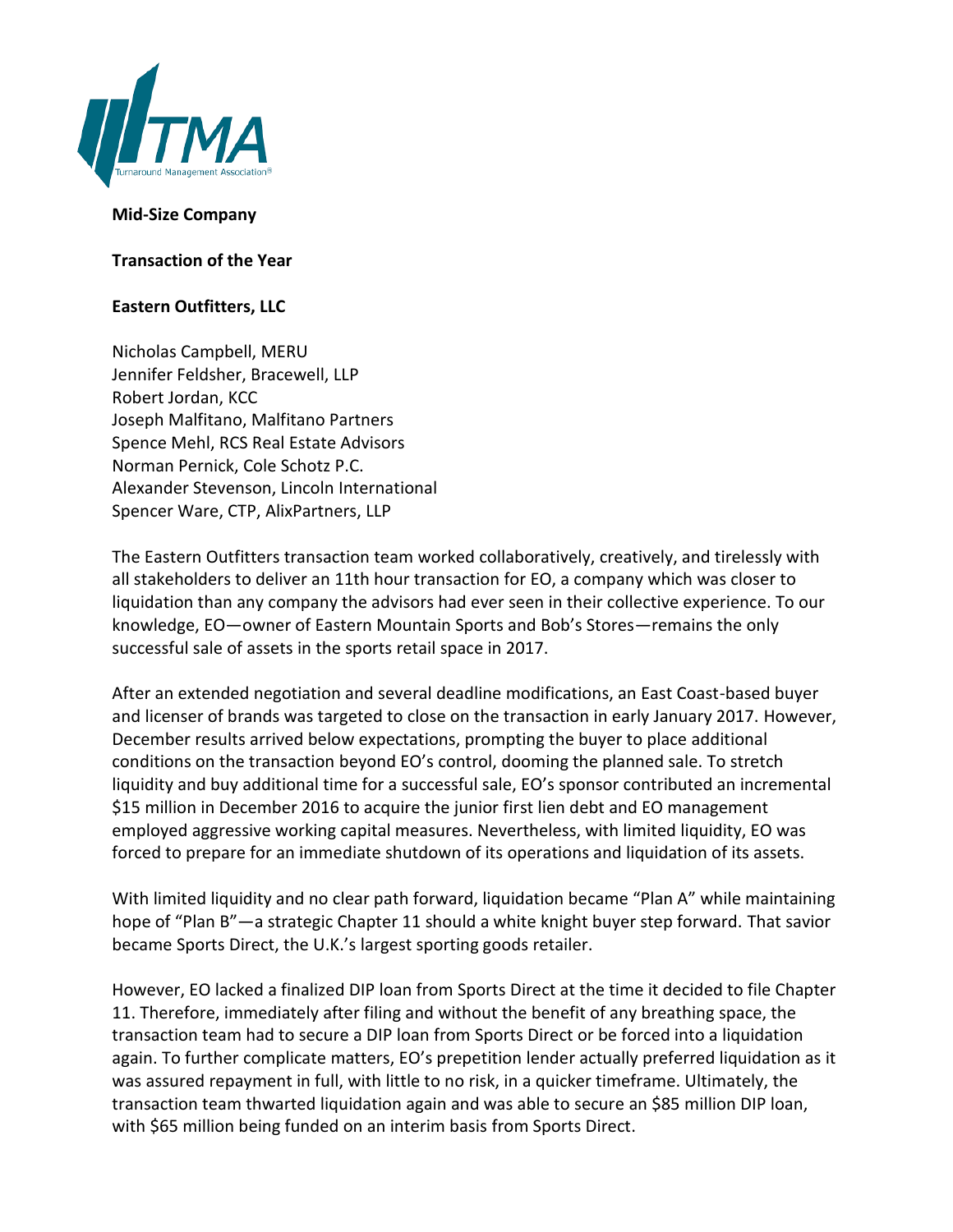

## **Mid-Size Company**

**Transaction of the Year**

## **Eastern Outfitters, LLC**

Nicholas Campbell, MERU Jennifer Feldsher, Bracewell, LLP Robert Jordan, KCC Joseph Malfitano, Malfitano Partners Spence Mehl, RCS Real Estate Advisors Norman Pernick, Cole Schotz P.C. Alexander Stevenson, Lincoln International Spencer Ware, CTP, AlixPartners, LLP

The Eastern Outfitters transaction team worked collaboratively, creatively, and tirelessly with all stakeholders to deliver an 11th hour transaction for EO, a company which was closer to liquidation than any company the advisors had ever seen in their collective experience. To our knowledge, EO—owner of Eastern Mountain Sports and Bob's Stores—remains the only successful sale of assets in the sports retail space in 2017.

After an extended negotiation and several deadline modifications, an East Coast-based buyer and licenser of brands was targeted to close on the transaction in early January 2017. However, December results arrived below expectations, prompting the buyer to place additional conditions on the transaction beyond EO's control, dooming the planned sale. To stretch liquidity and buy additional time for a successful sale, EO's sponsor contributed an incremental \$15 million in December 2016 to acquire the junior first lien debt and EO management employed aggressive working capital measures. Nevertheless, with limited liquidity, EO was forced to prepare for an immediate shutdown of its operations and liquidation of its assets.

With limited liquidity and no clear path forward, liquidation became "Plan A" while maintaining hope of "Plan B"—a strategic Chapter 11 should a white knight buyer step forward. That savior became Sports Direct, the U.K.'s largest sporting goods retailer.

However, EO lacked a finalized DIP loan from Sports Direct at the time it decided to file Chapter 11. Therefore, immediately after filing and without the benefit of any breathing space, the transaction team had to secure a DIP loan from Sports Direct or be forced into a liquidation again. To further complicate matters, EO's prepetition lender actually preferred liquidation as it was assured repayment in full, with little to no risk, in a quicker timeframe. Ultimately, the transaction team thwarted liquidation again and was able to secure an \$85 million DIP loan, with \$65 million being funded on an interim basis from Sports Direct.